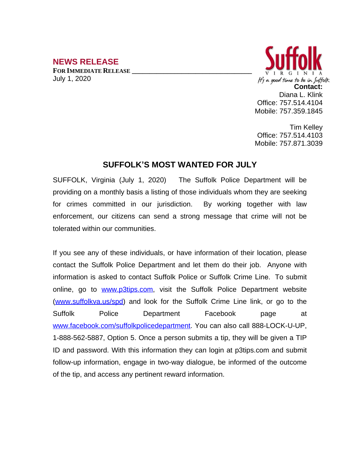## **NEWS RELEASE**

**FOR IMMEDIATE RELEASE \_\_\_\_\_\_\_\_\_\_\_\_\_\_\_\_\_\_\_\_\_\_\_\_\_\_\_\_\_\_\_\_\_\_** July 1, 2020



Tim Kelley Office: 757.514.4103 Mobile: 757.871.3039

## **SUFFOLK'S MOST WANTED FOR JULY**

SUFFOLK, Virginia (July 1, 2020) The Suffolk Police Department will be providing on a monthly basis a listing of those individuals whom they are seeking for crimes committed in our jurisdiction. By working together with law enforcement, our citizens can send a strong message that crime will not be tolerated within our communities.

If you see any of these individuals, or have information of their location, please contact the Suffolk Police Department and let them do their job. Anyone with information is asked to contact Suffolk Police or Suffolk Crime Line. To submit online, go to [www.p3tips.com](http://www.p3tips.com), visit the Suffolk Police Department website ([www.suffolkva.us/spd](http://www.suffolkva.us/spd)) and look for the Suffolk Crime Line link, or go to the Suffolk Police Department Facebook page at [www.facebook.com/suffolkpolicedepartment](http://www.facebook.com/suffolkpolicedepartment). You can also call 888-LOCK-U-UP, 1-888-562-5887, Option 5. Once a person submits a tip, they will be given a TIP ID and password. With this information they can login at p3tips.com and submit follow-up information, engage in two-way dialogue, be informed of the outcome of the tip, and access any pertinent reward information.